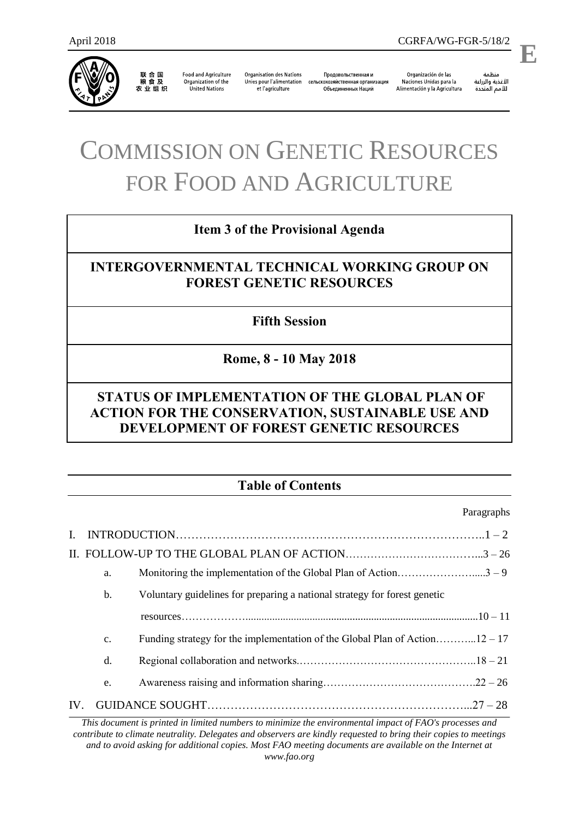

联合国<br>粮食及 农业组织

**Food and Agriculture** Organization of the **United Nations** 

**Organisation des Nations** Unies pour l'alimentation сельскохозяйственная организация et l'agriculture

Продовольственная и Объединенных Наций

Organización de las Naciones Unidas para la Alimentación y la Agricultura

منظمة الأغذية والزراعة 

.

**E**

# COMMISSION ON GENETIC RESOURCES FOR FOOD AND AGRICULTURE

## **Item 3 of the Provisional Agenda**

# **INTERGOVERNMENTAL TECHNICAL WORKING GROUP ON FOREST GENETIC RESOURCES**

**Fifth Session**

**Rome, 8 - 10 May 2018**

# **STATUS OF IMPLEMENTATION OF THE GLOBAL PLAN OF ACTION FOR THE CONSERVATION, SUSTAINABLE USE AND DEVELOPMENT OF FOREST GENETIC RESOURCES**

# **Table of Contents**

Paragraphs

| $\mathbf{I}$ . |               |                                                                             |  |
|----------------|---------------|-----------------------------------------------------------------------------|--|
|                |               |                                                                             |  |
|                | a.            |                                                                             |  |
|                | b.            | Voluntary guidelines for preparing a national strategy for forest genetic   |  |
|                |               |                                                                             |  |
|                | $C_{\bullet}$ | Funding strategy for the implementation of the Global Plan of Action12 – 17 |  |
|                | d.            |                                                                             |  |
|                | e.            |                                                                             |  |
| IV.            |               |                                                                             |  |

*This document is printed in limited numbers to minimize the environmental impact of FAO's processes and contribute to climate neutrality. Delegates and observers are kindly requested to bring their copies to meetings and to avoid asking for additional copies. Most FAO meeting documents are available on the Internet at www.fao.org*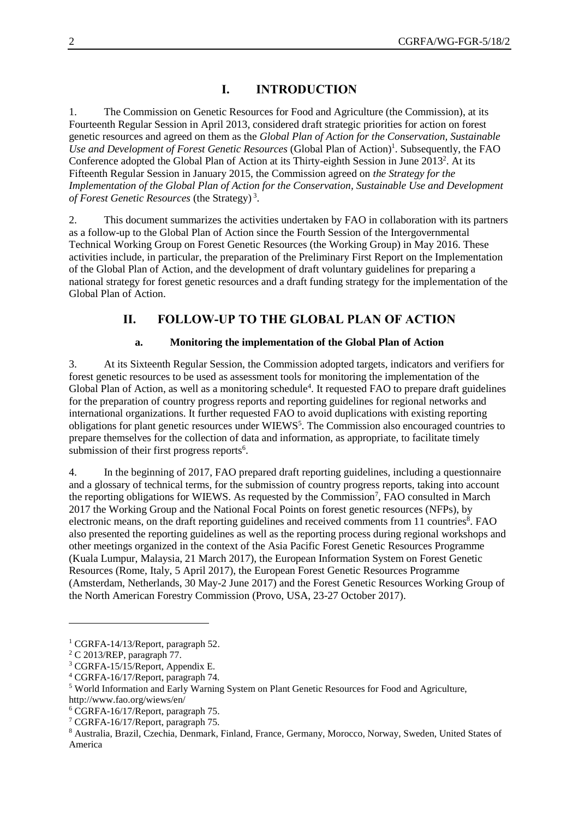## **I. INTRODUCTION**

1. The Commission on Genetic Resources for Food and Agriculture (the Commission), at its Fourteenth Regular Session in April 2013, considered draft strategic priorities for action on forest genetic resources and agreed on them as the *Global Plan of Action for the Conservation, Sustainable*  Use and Development of Forest Genetic Resources (Global Plan of Action)<sup>1</sup>. Subsequently, the FAO Conference adopted the Global Plan of Action at its Thirty-eighth Session in June 2013<sup>2</sup>. At its Fifteenth Regular Session in January 2015, the Commission agreed on *the Strategy for the Implementation of the Global Plan of Action for the Conservation, Sustainable Use and Development of Forest Genetic Resources* (the Strategy) <sup>3</sup> .

2. This document summarizes the activities undertaken by FAO in collaboration with its partners as a follow-up to the Global Plan of Action since the Fourth Session of the Intergovernmental Technical Working Group on Forest Genetic Resources (the Working Group) in May 2016. These activities include, in particular, the preparation of the Preliminary First Report on the Implementation of the Global Plan of Action, and the development of draft voluntary guidelines for preparing a national strategy for forest genetic resources and a draft funding strategy for the implementation of the Global Plan of Action.

## **II. FOLLOW-UP TO THE GLOBAL PLAN OF ACTION**

#### **a. Monitoring the implementation of the Global Plan of Action**

3. At its Sixteenth Regular Session, the Commission adopted targets, indicators and verifiers for forest genetic resources to be used as assessment tools for monitoring the implementation of the Global Plan of Action, as well as a monitoring schedule<sup>4</sup>. It requested FAO to prepare draft guidelines for the preparation of country progress reports and reporting guidelines for regional networks and international organizations. It further requested FAO to avoid duplications with existing reporting obligations for plant genetic resources under WIEWS<sup>5</sup>. The Commission also encouraged countries to prepare themselves for the collection of data and information, as appropriate, to facilitate timely submission of their first progress reports $6$ .

4. In the beginning of 2017, FAO prepared draft reporting guidelines, including a questionnaire and a glossary of technical terms, for the submission of country progress reports, taking into account the reporting obligations for WIEWS. As requested by the Commission<sup>7</sup>, FAO consulted in March 2017 the Working Group and the National Focal Points on forest genetic resources (NFPs), by electronic means, on the draft reporting guidelines and received comments from 11 countries<sup>8</sup>. FAO also presented the reporting guidelines as well as the reporting process during regional workshops and other meetings organized in the context of the Asia Pacific Forest Genetic Resources Programme (Kuala Lumpur, Malaysia, 21 March 2017), the European Information System on Forest Genetic Resources (Rome, Italy, 5 April 2017), the European Forest Genetic Resources Programme (Amsterdam, Netherlands, 30 May-2 June 2017) and the Forest Genetic Resources Working Group of the North American Forestry Commission (Provo, USA, 23-27 October 2017).

 $\overline{a}$ 

<sup>&</sup>lt;sup>1</sup> CGRFA-14/13/Report, paragraph 52.

<sup>2</sup> C 2013/REP, paragraph 77.

<sup>3</sup> CGRFA-15/15/Report, Appendix E.

<sup>4</sup> CGRFA-16/17/Report, paragraph 74.

<sup>5</sup> World Information and Early Warning System on Plant Genetic Resources for Food and Agriculture,

<http://www.fao.org/wiews/en/>

<sup>6</sup> CGRFA-16/17/Report, paragraph 75.

<sup>7</sup> CGRFA-16/17/Report, paragraph 75.

<sup>8</sup> Australia, Brazil, Czechia, Denmark, Finland, France, Germany, Morocco, Norway, Sweden, United States of America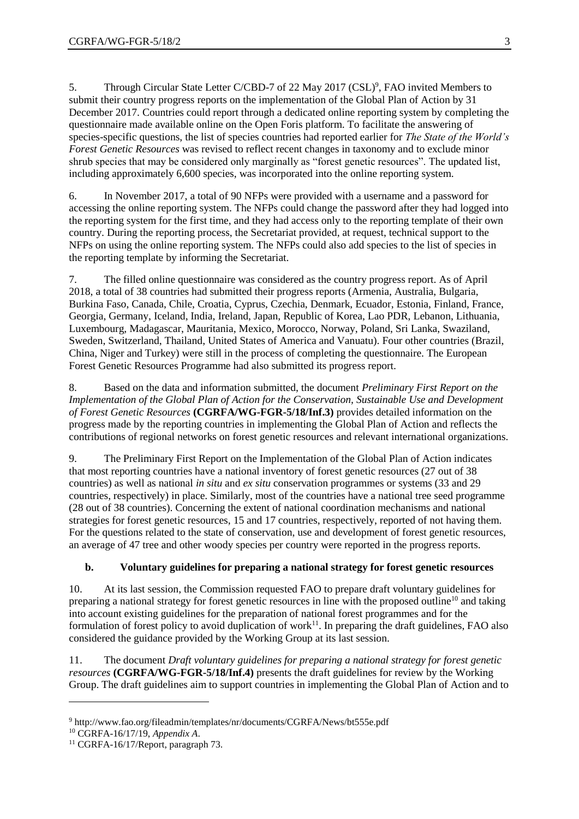5. Through Circular State Letter C/CBD-7 of 22 May 2017 (CSL)<sup>9</sup>, FAO invited Members to submit their country progress reports on the implementation of the Global Plan of Action by 31 December 2017. Countries could report through a dedicated online reporting system by completing the questionnaire made available online on the Open Foris platform. To facilitate the answering of species-specific questions, the list of species countries had reported earlier for *The State of the World's Forest Genetic Resources* was revised to reflect recent changes in taxonomy and to exclude minor shrub species that may be considered only marginally as "forest genetic resources". The updated list, including approximately 6,600 species, was incorporated into the online reporting system.

6. In November 2017, a total of 90 NFPs were provided with a username and a password for accessing the online reporting system. The NFPs could change the password after they had logged into the reporting system for the first time, and they had access only to the reporting template of their own country. During the reporting process, the Secretariat provided, at request, technical support to the NFPs on using the online reporting system. The NFPs could also add species to the list of species in the reporting template by informing the Secretariat.

7. The filled online questionnaire was considered as the country progress report. As of April 2018, a total of 38 countries had submitted their progress reports (Armenia, Australia, Bulgaria, Burkina Faso, Canada, Chile, Croatia, Cyprus, Czechia, Denmark, Ecuador, Estonia, Finland, France, Georgia, Germany, Iceland, India, Ireland, Japan, Republic of Korea, Lao PDR, Lebanon, Lithuania, Luxembourg, Madagascar, Mauritania, Mexico, Morocco, Norway, Poland, Sri Lanka, Swaziland, Sweden, Switzerland, Thailand, United States of America and Vanuatu). Four other countries (Brazil, China, Niger and Turkey) were still in the process of completing the questionnaire. The European Forest Genetic Resources Programme had also submitted its progress report.

8. Based on the data and information submitted, the document *Preliminary First Report on the Implementation of the Global Plan of Action for the Conservation, Sustainable Use and Development of Forest Genetic Resources* **(CGRFA/WG-FGR-5/18/Inf.3)** provides detailed information on the progress made by the reporting countries in implementing the Global Plan of Action and reflects the contributions of regional networks on forest genetic resources and relevant international organizations.

9. The Preliminary First Report on the Implementation of the Global Plan of Action indicates that most reporting countries have a national inventory of forest genetic resources (27 out of 38 countries) as well as national *in situ* and *ex situ* conservation programmes or systems (33 and 29 countries, respectively) in place. Similarly, most of the countries have a national tree seed programme (28 out of 38 countries). Concerning the extent of national coordination mechanisms and national strategies for forest genetic resources, 15 and 17 countries, respectively, reported of not having them. For the questions related to the state of conservation, use and development of forest genetic resources, an average of 47 tree and other woody species per country were reported in the progress reports.

#### **b. Voluntary guidelines for preparing a national strategy for forest genetic resources**

10. At its last session, the Commission requested FAO to prepare draft voluntary guidelines for preparing a national strategy for forest genetic resources in line with the proposed outline<sup>10</sup> and taking into account existing guidelines for the preparation of national forest programmes and for the formulation of forest policy to avoid duplication of work $<sup>11</sup>$ . In preparing the draft guidelines, FAO also</sup> considered the guidance provided by the Working Group at its last session.

11. The document *Draft voluntary guidelines for preparing a national strategy for forest genetic resources* **(CGRFA/WG-FGR-5/18/Inf.4)** presents the draft guidelines for review by the Working Group. The draft guidelines aim to support countries in implementing the Global Plan of Action and to

l

<sup>9</sup> <http://www.fao.org/fileadmin/templates/nr/documents/CGRFA/News/bt555e.pdf>

<sup>10</sup> CGRFA-16/17/19, *Appendix A*.

<sup>&</sup>lt;sup>11</sup> CGRFA-16/17/Report, paragraph 73.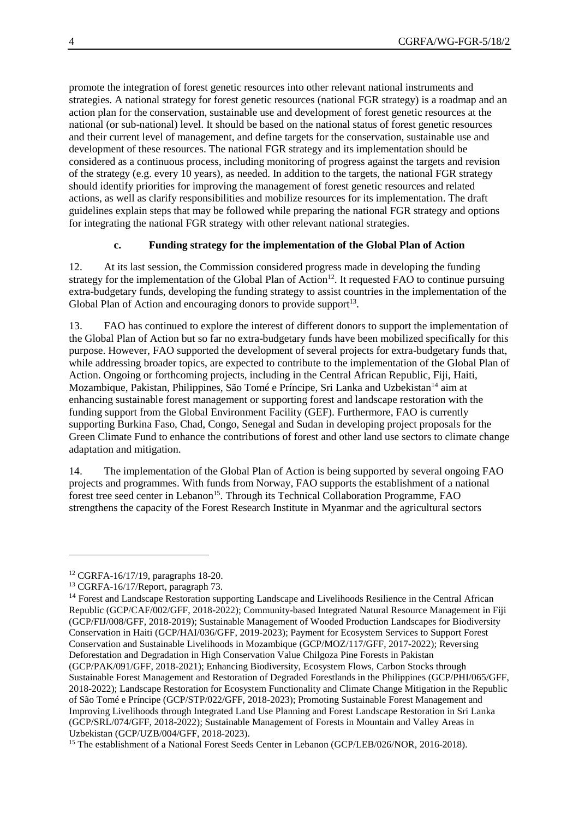promote the integration of forest genetic resources into other relevant national instruments and strategies. A national strategy for forest genetic resources (national FGR strategy) is a roadmap and an action plan for the conservation, sustainable use and development of forest genetic resources at the national (or sub-national) level. It should be based on the national status of forest genetic resources and their current level of management, and define targets for the conservation, sustainable use and development of these resources. The national FGR strategy and its implementation should be considered as a continuous process, including monitoring of progress against the targets and revision of the strategy (e.g. every 10 years), as needed. In addition to the targets, the national FGR strategy should identify priorities for improving the management of forest genetic resources and related actions, as well as clarify responsibilities and mobilize resources for its implementation. The draft guidelines explain steps that may be followed while preparing the national FGR strategy and options for integrating the national FGR strategy with other relevant national strategies.

#### **c. Funding strategy for the implementation of the Global Plan of Action**

12. At its last session, the Commission considered progress made in developing the funding strategy for the implementation of the Global Plan of Action<sup>12</sup>. It requested FAO to continue pursuing extra-budgetary funds, developing the funding strategy to assist countries in the implementation of the Global Plan of Action and encouraging donors to provide support $13$ .

13. FAO has continued to explore the interest of different donors to support the implementation of the Global Plan of Action but so far no extra-budgetary funds have been mobilized specifically for this purpose. However, FAO supported the development of several projects for extra-budgetary funds that, while addressing broader topics, are expected to contribute to the implementation of the Global Plan of Action. Ongoing or forthcoming projects, including in the Central African Republic, Fiji, Haiti, Mozambique, Pakistan, Philippines, São Tomé e Príncipe, Sri Lanka and Uzbekistan<sup>14</sup> aim at enhancing sustainable forest management or supporting forest and landscape restoration with the funding support from the Global Environment Facility (GEF). Furthermore, FAO is currently supporting Burkina Faso, Chad, Congo, Senegal and Sudan in developing project proposals for the Green Climate Fund to enhance the contributions of forest and other land use sectors to climate change adaptation and mitigation.

14. The implementation of the Global Plan of Action is being supported by several ongoing FAO projects and programmes. With funds from Norway, FAO supports the establishment of a national forest tree seed center in Lebanon<sup>15</sup>. Through its Technical Collaboration Programme, FAO strengthens the capacity of the Forest Research Institute in Myanmar and the agricultural sectors

 $\overline{a}$ 

<sup>12</sup> CGRFA-16/17/19, paragraphs 18-20.

<sup>&</sup>lt;sup>13</sup> CGRFA-16/17/Report, paragraph 73.

<sup>&</sup>lt;sup>14</sup> Forest and Landscape Restoration supporting Landscape and Livelihoods Resilience in the Central African Republic (GCP/CAF/002/GFF, 2018-2022); Community-based Integrated Natural Resource Management in Fiji (GCP/FIJ/008/GFF, 2018-2019); Sustainable Management of Wooded Production Landscapes for Biodiversity Conservation in Haiti (GCP/HAI/036/GFF, 2019-2023); Payment for Ecosystem Services to Support Forest Conservation and Sustainable Livelihoods in Mozambique (GCP/MOZ/117/GFF, 2017-2022); Reversing Deforestation and Degradation in High Conservation Value Chilgoza Pine Forests in Pakistan (GCP/PAK/091/GFF, 2018-2021); Enhancing Biodiversity, Ecosystem Flows, Carbon Stocks through Sustainable Forest Management and Restoration of Degraded Forestlands in the Philippines (GCP/PHI/065/GFF, 2018-2022); Landscape Restoration for Ecosystem Functionality and Climate Change Mitigation in the Republic of São Tomé e Príncipe (GCP/STP/022/GFF, 2018-2023); Promoting Sustainable Forest Management and Improving Livelihoods through Integrated Land Use Planning and Forest Landscape Restoration in Sri Lanka (GCP/SRL/074/GFF, 2018-2022); Sustainable Management of Forests in Mountain and Valley Areas in Uzbekistan (GCP/UZB/004/GFF, 2018-2023).

<sup>&</sup>lt;sup>15</sup> The establishment of a National Forest Seeds Center in Lebanon (GCP/LEB/026/NOR, 2016-2018).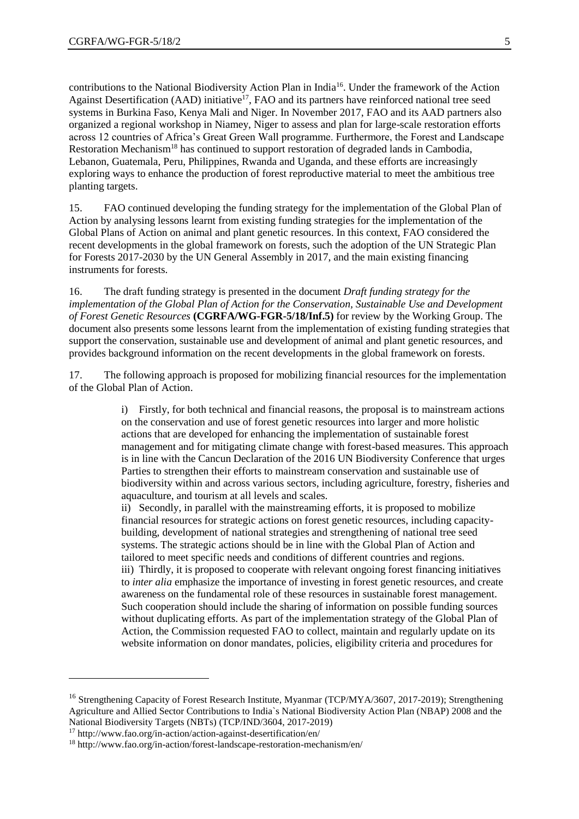contributions to the National Biodiversity Action Plan in India<sup>16</sup>. Under the framework of the Action Against Desertification (AAD) initiative<sup>17</sup>, FAO and its partners have reinforced national tree seed systems in Burkina Faso, Kenya Mali and Niger. In November 2017, FAO and its AAD partners also organized a regional workshop in Niamey, Niger to assess and plan for large-scale restoration efforts across 12 countries of Africa's Great Green Wall programme. Furthermore, the Forest and Landscape Restoration Mechanism<sup>18</sup> has continued to support restoration of degraded lands in Cambodia, Lebanon, Guatemala, Peru, Philippines, Rwanda and Uganda, and these efforts are increasingly exploring ways to enhance the production of forest reproductive material to meet the ambitious tree planting targets.

15. FAO continued developing the funding strategy for the implementation of the Global Plan of Action by analysing lessons learnt from existing funding strategies for the implementation of the Global Plans of Action on animal and plant genetic resources. In this context, FAO considered the recent developments in the global framework on forests, such the adoption of the UN Strategic Plan for Forests 2017-2030 by the UN General Assembly in 2017, and the main existing financing instruments for forests.

16. The draft funding strategy is presented in the document *Draft funding strategy for the implementation of the Global Plan of Action for the Conservation, Sustainable Use and Development of Forest Genetic Resources* **(CGRFA/WG-FGR-5/18/Inf.5)** for review by the Working Group. The document also presents some lessons learnt from the implementation of existing funding strategies that support the conservation, sustainable use and development of animal and plant genetic resources, and provides background information on the recent developments in the global framework on forests.

17. The following approach is proposed for mobilizing financial resources for the implementation of the Global Plan of Action.

> i) Firstly, for both technical and financial reasons, the proposal is to mainstream actions on the conservation and use of forest genetic resources into larger and more holistic actions that are developed for enhancing the implementation of sustainable forest management and for mitigating climate change with forest-based measures. This approach is in line with the Cancun Declaration of the 2016 UN Biodiversity Conference that urges Parties to strengthen their efforts to mainstream conservation and sustainable use of biodiversity within and across various sectors, including agriculture, forestry, fisheries and aquaculture, and tourism at all levels and scales.

ii) Secondly, in parallel with the mainstreaming efforts, it is proposed to mobilize financial resources for strategic actions on forest genetic resources, including capacitybuilding, development of national strategies and strengthening of national tree seed systems. The strategic actions should be in line with the Global Plan of Action and tailored to meet specific needs and conditions of different countries and regions. iii) Thirdly, it is proposed to cooperate with relevant ongoing forest financing initiatives to *inter alia* emphasize the importance of investing in forest genetic resources, and create awareness on the fundamental role of these resources in sustainable forest management. Such cooperation should include the sharing of information on possible funding sources without duplicating efforts. As part of the implementation strategy of the Global Plan of Action, the Commission requested FAO to collect, maintain and regularly update on its website information on donor mandates, policies, eligibility criteria and procedures for

 $\overline{a}$ 

<sup>&</sup>lt;sup>16</sup> Strengthening Capacity of Forest Research Institute, Myanmar (TCP/MYA/3607, 2017-2019); Strengthening Agriculture and Allied Sector Contributions to India`s National Biodiversity Action Plan (NBAP) 2008 and the National Biodiversity Targets (NBTs) (TCP/IND/3604, 2017-2019)

<sup>17</sup> <http://www.fao.org/in-action/action-against-desertification/en/>

<sup>18</sup> <http://www.fao.org/in-action/forest-landscape-restoration-mechanism/en/>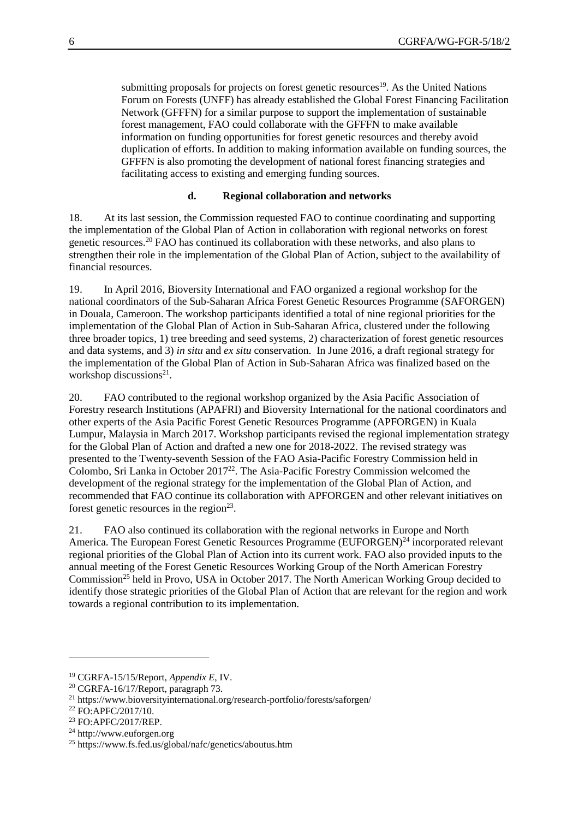submitting proposals for projects on forest genetic resources<sup>19</sup>. As the United Nations Forum on Forests (UNFF) has already established the Global Forest Financing Facilitation Network (GFFFN) for a similar purpose to support the implementation of sustainable forest management, FAO could collaborate with the GFFFN to make available information on funding opportunities for forest genetic resources and thereby avoid duplication of efforts. In addition to making information available on funding sources, the GFFFN is also promoting the development of national forest financing strategies and facilitating access to existing and emerging funding sources.

#### **d. Regional collaboration and networks**

18. At its last session, the Commission requested FAO to continue coordinating and supporting the implementation of the Global Plan of Action in collaboration with regional networks on forest genetic resources.<sup>20</sup> FAO has continued its collaboration with these networks, and also plans to strengthen their role in the implementation of the Global Plan of Action, subject to the availability of financial resources.

19. In April 2016, Bioversity International and FAO organized a regional workshop for the national coordinators of the Sub-Saharan Africa Forest Genetic Resources Programme (SAFORGEN) in Douala, Cameroon. The workshop participants identified a total of nine regional priorities for the implementation of the Global Plan of Action in Sub-Saharan Africa, clustered under the following three broader topics, 1) tree breeding and seed systems, 2) characterization of forest genetic resources and data systems, and 3) *in situ* and *ex situ* conservation. In June 2016, a draft regional strategy for the implementation of the Global Plan of Action in Sub-Saharan Africa was finalized based on the workshop discussions<sup>21</sup>.

20. FAO contributed to the regional workshop organized by the Asia Pacific Association of Forestry research Institutions (APAFRI) and Bioversity International for the national coordinators and other experts of the Asia Pacific Forest Genetic Resources Programme (APFORGEN) in Kuala Lumpur, Malaysia in March 2017. Workshop participants revised the regional implementation strategy for the Global Plan of Action and drafted a new one for 2018-2022. The revised strategy was presented to the Twenty-seventh Session of the FAO Asia-Pacific Forestry Commission held in Colombo, Sri Lanka in October  $2017<sup>22</sup>$ . The Asia-Pacific Forestry Commission welcomed the development of the regional strategy for the implementation of the Global Plan of Action, and recommended that FAO continue its collaboration with APFORGEN and other relevant initiatives on forest genetic resources in the region<sup>23</sup>.

21. FAO also continued its collaboration with the regional networks in Europe and North America. The European Forest Genetic Resources Programme (EUFORGEN)<sup>24</sup> incorporated relevant regional priorities of the Global Plan of Action into its current work. FAO also provided inputs to the annual meeting of the Forest Genetic Resources Working Group of the North American Forestry Commission<sup>25</sup> held in Provo, USA in October 2017. The North American Working Group decided to identify those strategic priorities of the Global Plan of Action that are relevant for the region and work towards a regional contribution to its implementation.

l

<sup>19</sup> CGRFA-15/15/Report, *Appendix E*, IV.

<sup>20</sup> CGRFA-16/17/Report, paragraph 73.

<sup>21</sup> <https://www.bioversityinternational.org/research-portfolio/forests/saforgen/>

 $22$  FO: APFC/2017/10.

<sup>23</sup> FO:APFC/2017/REP.

<sup>24</sup> [http://www.euforgen.org](http://www.euforgen.org/)

<sup>25</sup> <https://www.fs.fed.us/global/nafc/genetics/aboutus.htm>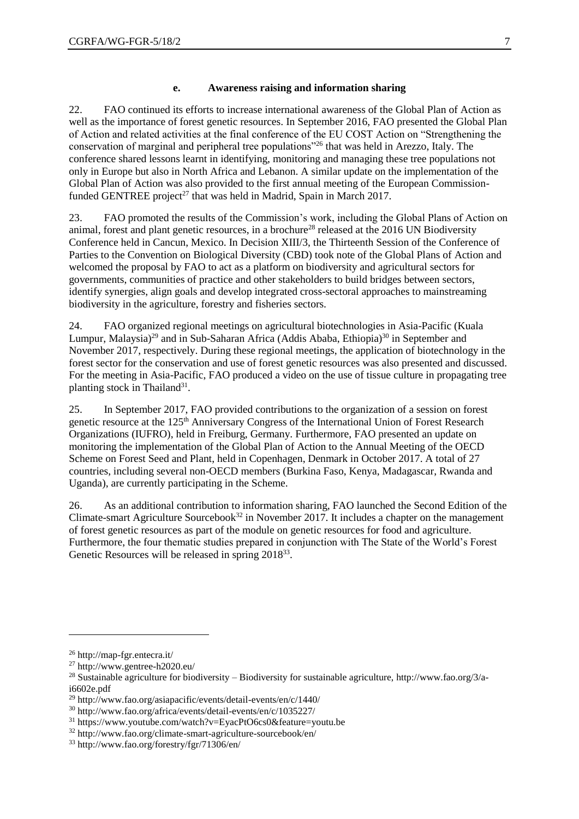#### **e. Awareness raising and information sharing**

22. FAO continued its efforts to increase international awareness of the Global Plan of Action as well as the importance of forest genetic resources. In September 2016, FAO presented the Global Plan of Action and related activities at the final conference of the EU COST Action on "Strengthening the conservation of marginal and peripheral tree populations"<sup>26</sup> that was held in Arezzo, Italy. The conference shared lessons learnt in identifying, monitoring and managing these tree populations not only in Europe but also in North Africa and Lebanon. A similar update on the implementation of the Global Plan of Action was also provided to the first annual meeting of the European Commissionfunded GENTREE project<sup>27</sup> that was held in Madrid, Spain in March 2017.

23. FAO promoted the results of the Commission's work, including the Global Plans of Action on animal, forest and plant genetic resources, in a brochure<sup>28</sup> released at the 2016 UN Biodiversity Conference held in Cancun, Mexico. In Decision XIII/3, the Thirteenth Session of the Conference of Parties to the Convention on Biological Diversity (CBD) took note of the Global Plans of Action and welcomed the proposal by FAO to act as a platform on biodiversity and agricultural sectors for governments, communities of practice and other stakeholders to build bridges between sectors, identify synergies, align goals and develop integrated cross-sectoral approaches to mainstreaming biodiversity in the agriculture, forestry and fisheries sectors.

24. FAO organized regional meetings on agricultural biotechnologies in Asia-Pacific (Kuala Lumpur, Malaysia)<sup>29</sup> and in Sub-Saharan Africa (Addis Ababa, Ethiopia)<sup>30</sup> in September and November 2017, respectively. During these regional meetings, the application of biotechnology in the forest sector for the conservation and use of forest genetic resources was also presented and discussed. For the meeting in Asia-Pacific, FAO produced a video on the use of tissue culture in propagating tree planting stock in Thailand<sup>31</sup>.

25. In September 2017, FAO provided contributions to the organization of a session on forest genetic resource at the 125<sup>th</sup> Anniversary Congress of the International Union of Forest Research Organizations (IUFRO), held in Freiburg, Germany. Furthermore, FAO presented an update on monitoring the implementation of the Global Plan of Action to the Annual Meeting of the OECD Scheme on Forest Seed and Plant, held in Copenhagen, Denmark in October 2017. A total of 27 countries, including several non-OECD members (Burkina Faso, Kenya, Madagascar, Rwanda and Uganda), are currently participating in the Scheme.

26. As an additional contribution to information sharing, FAO launched the Second Edition of the Climate-smart Agriculture Sourcebook<sup>32</sup> in November 2017. It includes a chapter on the management of forest genetic resources as part of the module on genetic resources for food and agriculture. Furthermore, the four thematic studies prepared in conjunction with The State of the World's Forest Genetic Resources will be released in spring 2018<sup>33</sup>.

l

<sup>26</sup> <http://map-fgr.entecra.it/>

<sup>27</sup> <http://www.gentree-h2020.eu/>

<sup>&</sup>lt;sup>28</sup> Sustainable agriculture for biodiversity – Biodiversity for sustainable agriculture, [http://www.fao.org/3/a](http://www.fao.org/3/a-i6602e.pdf)[i6602e.pdf](http://www.fao.org/3/a-i6602e.pdf)

<sup>29</sup> <http://www.fao.org/asiapacific/events/detail-events/en/c/1440/>

<sup>30</sup> <http://www.fao.org/africa/events/detail-events/en/c/1035227/>

<sup>31</sup> <https://www.youtube.com/watch?v=EyacPtO6cs0&feature=youtu.be>

<sup>32</sup> <http://www.fao.org/climate-smart-agriculture-sourcebook/en/>

<sup>33</sup> <http://www.fao.org/forestry/fgr/71306/en/>